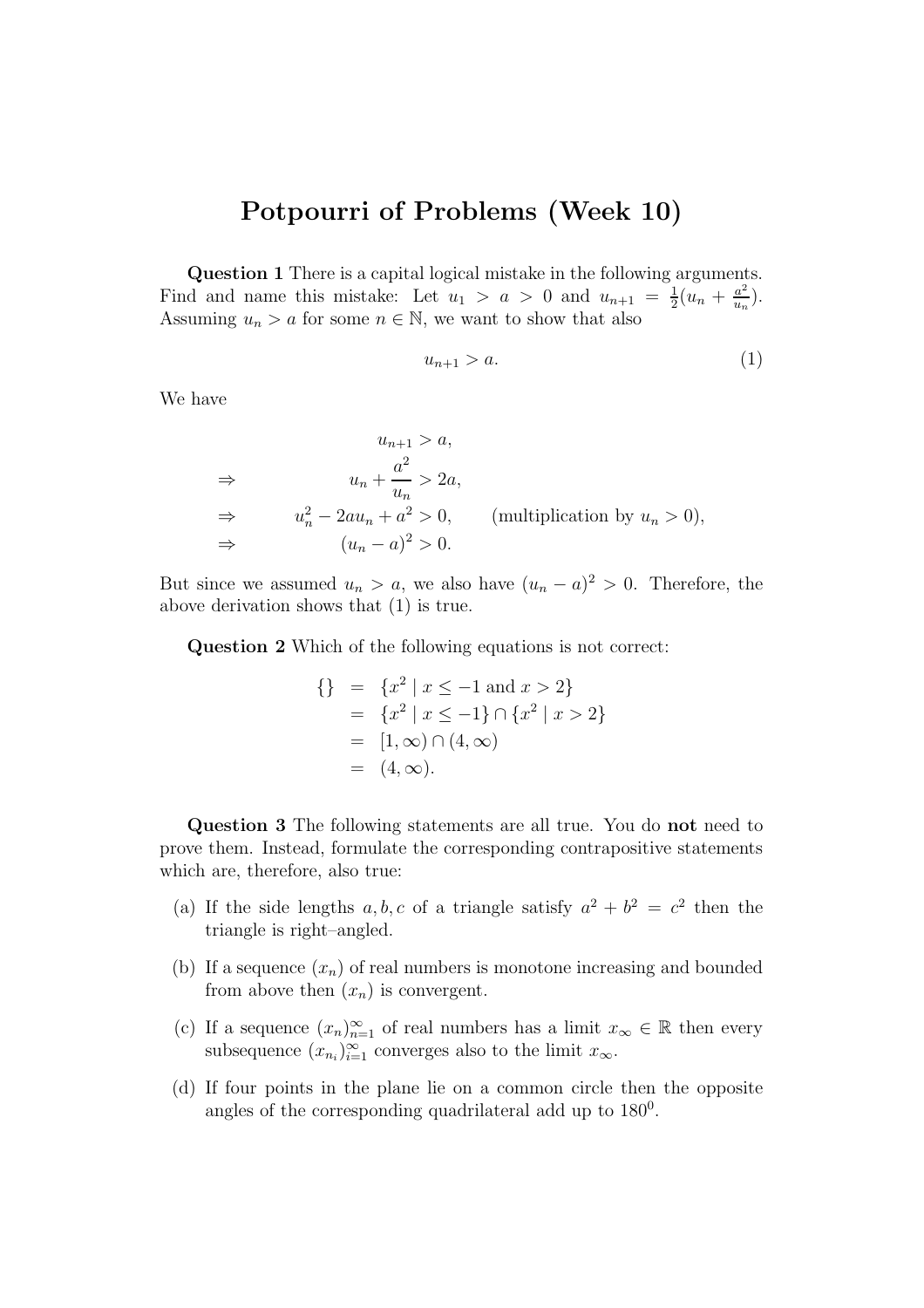## Potpourri of Problems (Week 10)

Question 1 There is a capital logical mistake in the following arguments. Find and name this mistake: Let  $u_1 > a > 0$  and  $u_{n+1} = \frac{1}{2}$  $rac{1}{2}(u_n + \frac{a^2}{u_n})$  $\frac{a^2}{u_n}$ ). Assuming  $u_n > a$  for some  $n \in \mathbb{N}$ , we want to show that also

$$
u_{n+1} > a. \tag{1}
$$

We have

$$
u_{n+1} > a,
$$
  
\n
$$
\Rightarrow \qquad u_n + \frac{a^2}{u_n} > 2a,
$$
  
\n
$$
\Rightarrow \qquad u_n^2 - 2au_n + a^2 > 0,
$$
 (multiplication by  $u_n > 0$ ),  
\n
$$
\Rightarrow \qquad (u_n - a)^2 > 0.
$$

But since we assumed  $u_n > a$ , we also have  $(u_n - a)^2 > 0$ . Therefore, the above derivation shows that (1) is true.

Question 2 Which of the following equations is not correct:

$$
\{\}\n= \{x^2 \mid x \le -1 \text{ and } x > 2\}\n= \{x^2 \mid x \le -1\} \cap \{x^2 \mid x > 2\}\n= [1, \infty) \cap (4, \infty)\n= (4, \infty).
$$

Question 3 The following statements are all true. You do not need to prove them. Instead, formulate the corresponding contrapositive statements which are, therefore, also true:

- (a) If the side lengths a, b, c of a triangle satisfy  $a^2 + b^2 = c^2$  then the triangle is right–angled.
- (b) If a sequence  $(x_n)$  of real numbers is monotone increasing and bounded from above then  $(x_n)$  is convergent.
- (c) If a sequence  $(x_n)_{n=1}^{\infty}$  of real numbers has a limit  $x_{\infty} \in \mathbb{R}$  then every subsequence  $(x_{n_i})_{i=1}^{\infty}$  converges also to the limit  $x_{\infty}$ .
- (d) If four points in the plane lie on a common circle then the opposite angles of the corresponding quadrilateral add up to  $180^0$ .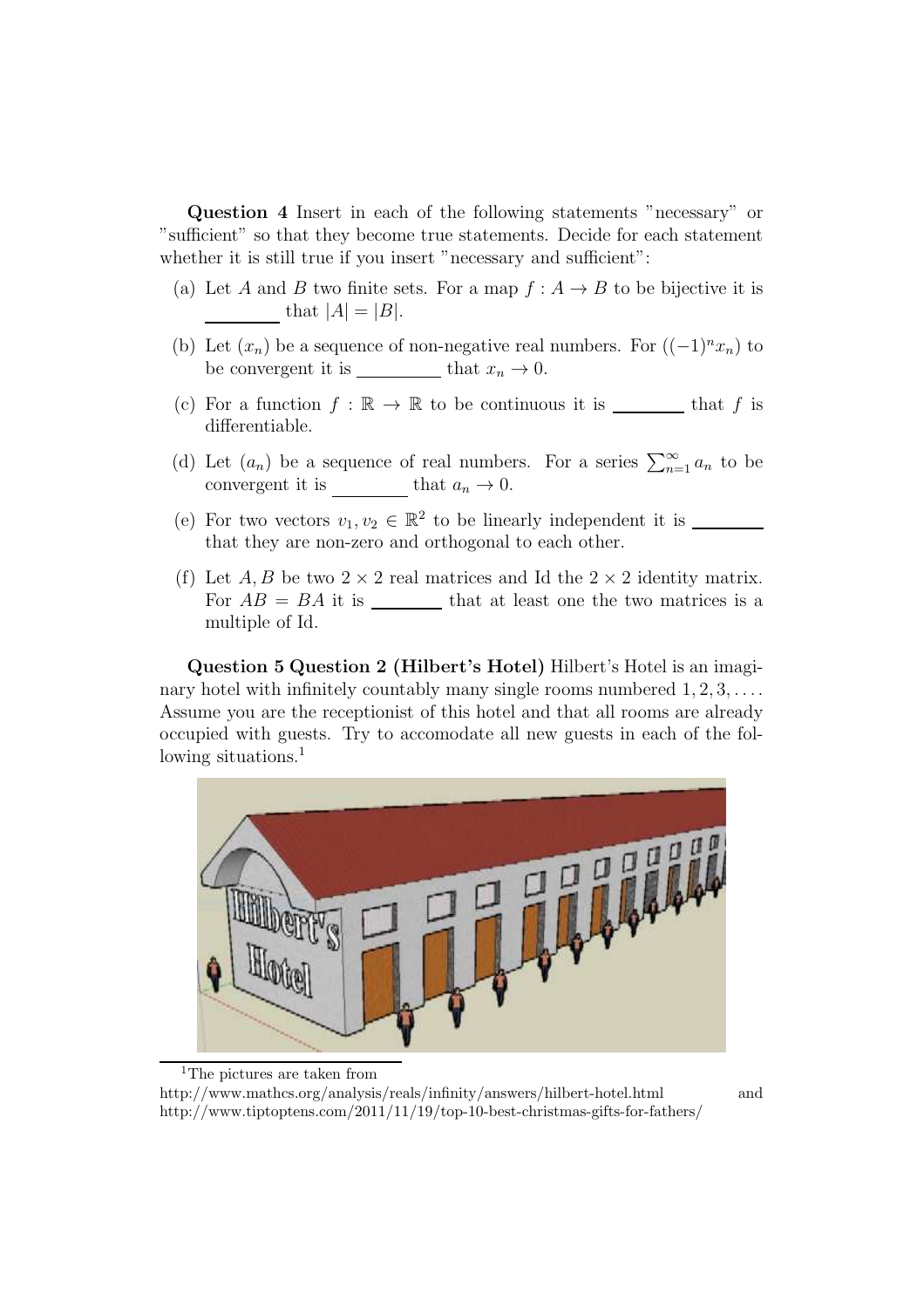Question 4 Insert in each of the following statements "necessary" or "sufficient" so that they become true statements. Decide for each statement whether it is still true if you insert "necessary and sufficient":

- (a) Let A and B two finite sets. For a map  $f : A \rightarrow B$  to be bijective it is that  $|A| = |B|$ .
- (b) Let  $(x_n)$  be a sequence of non-negative real numbers. For  $((-1)^n x_n)$  to be convergent it is  $\_\_\_\_\_\_\$  that  $x_n \to 0$ .
- (c) For a function  $f : \mathbb{R} \to \mathbb{R}$  to be continuous it is \_\_\_\_\_\_\_\_ that f is differentiable.
- (d) Let  $(a_n)$  be a sequence of real numbers. For a series  $\sum_{n=1}^{\infty} a_n$  to be convergent it is that  $a_n \to 0$ .
- (e) For two vectors  $v_1, v_2 \in \mathbb{R}^2$  to be linearly independent it is that they are non-zero and orthogonal to each other.
- (f) Let A, B be two  $2 \times 2$  real matrices and Id the  $2 \times 2$  identity matrix. For  $AB = BA$  it is \_\_\_\_\_\_\_\_\_ that at least one the two matrices is a multiple of Id.

Question 5 Question 2 (Hilbert's Hotel) Hilbert's Hotel is an imaginary hotel with infinitely countably many single rooms numbered  $1, 2, 3, \ldots$ . Assume you are the receptionist of this hotel and that all rooms are already occupied with guests. Try to accomodate all new guests in each of the following situations.<sup>1</sup>



<sup>1</sup>The pictures are taken from

http://www.mathcs.org/analysis/reals/infinity/answers/hilbert-hotel.html and http://www.tiptoptens.com/2011/11/19/top-10-best-christmas-gifts-for-fathers/